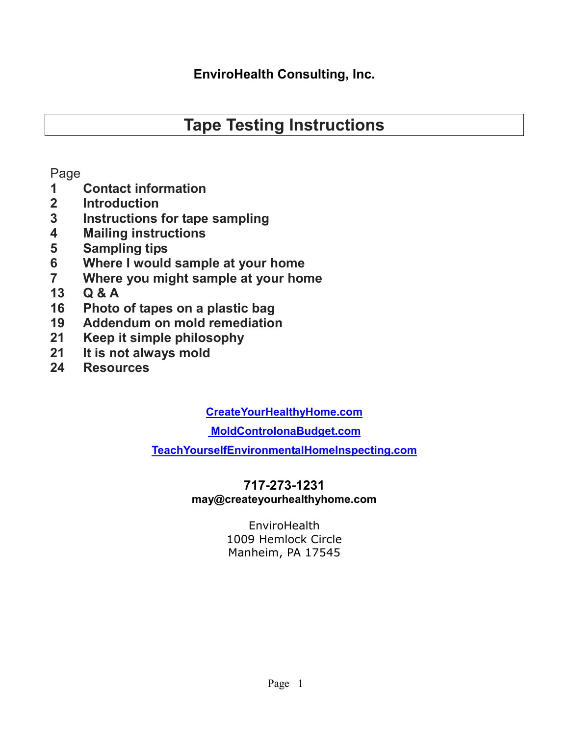# **Tape Testing Instructions**

Page

- **1 Contact information**
- **2 Introduction**
- **3 Instructions for tape sampling**
- **4 Mailing instructions**
- **5 Sampling tips**
- **6 Where I would sample at your home**
- **7 Where you might sample at your home**
- **13 Q & A**
- **16 Photo of tapes on a plastic bag**
- **19 Addendum on mold remediation**
- **21 Keep it simple philosophy**
- **21 It is not always mold**
- **24 Resources**

**CreateYourHealthyHome.com**

#### **MoldControlonaBudget.com**

**TeachYourselfEnvironmentalHomeInspecting.com**

# **717-273-1231**

#### **may@createyourhealthyhome.com**

**EnviroHealth** 1009 Hemlock Circle Manheim, PA 17545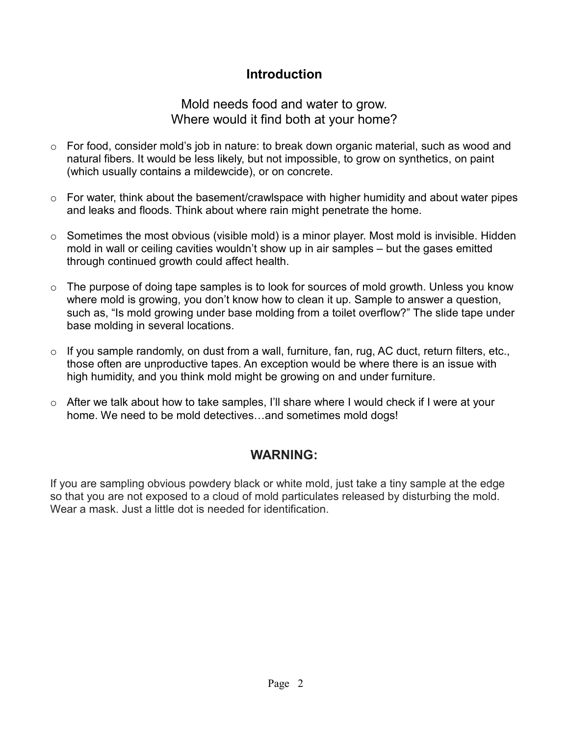### **Introduction**

### Mold needs food and water to grow. Where would it find both at your home?

- $\circ$  For food, consider mold's job in nature: to break down organic material, such as wood and natural fibers. It would be less likely, but not impossible, to grow on synthetics, on paint (which usually contains a mildewcide), or on concrete.
- $\circ$  For water, think about the basement/crawlspace with higher humidity and about water pipes and leaks and floods. Think about where rain might penetrate the home.
- $\circ$  Sometimes the most obvious (visible mold) is a minor player. Most mold is invisible. Hidden mold in wall or ceiling cavities wouldn't show up in air samples – but the gases emitted through continued growth could affect health.
- $\circ$  The purpose of doing tape samples is to look for sources of mold growth. Unless you know where mold is growing, you don't know how to clean it up. Sample to answer a question, such as, "Is mold growing under base molding from a toilet overflow?" The slide tape under base molding in several locations.
- $\circ$  If you sample randomly, on dust from a wall, furniture, fan, rug, AC duct, return filters, etc., those often are unproductive tapes. An exception would be where there is an issue with high humidity, and you think mold might be growing on and under furniture.
- o After we talk about how to take samples, I'll share where I would check if I were at your home. We need to be mold detectives...and sometimes mold dogs!

### **WARNING:**

If you are sampling obvious powdery black or white mold, just take a tiny sample at the edge so that you are not exposed to a cloud of mold particulates released by disturbing the mold. Wear a mask. Just a little dot is needed for identification.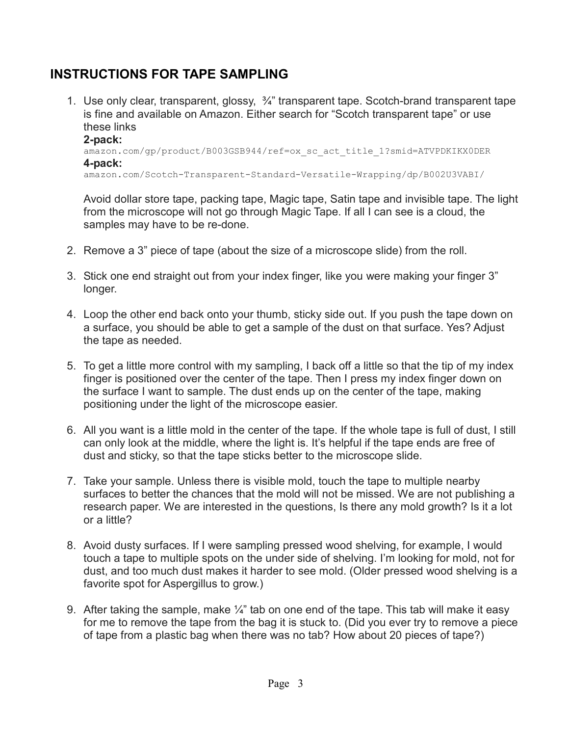# **INSTRUCTIONS FOR TAPE SAMPLING**

1. Use only clear, transparent, glossy, 3/4" transparent tape. Scotch-brand transparent tape is fine and available on Amazon. Either search for "Scotch transparent tape" or use these links **2-pack:** amazon.com/gp/product/B003GSB944/ref=ox\_sc\_act\_title\_1?smid=ATVPDKIKX0DER **4-pack:** amazon.com/Scotch-Transparent-Standard-Versatile-Wrapping/dp/B002U3VABI/

Avoid dollar store tape, packing tape, Magic tape, Satin tape and invisible tape. The light from the microscope will not go through Magic Tape. If all I can see is a cloud, the samples may have to be re-done.

- 2. Remove a 3" piece of tape (about the size of a microscope slide) from the roll.
- 3. Stick one end straight out from your index finger, like you were making your finger 3" longer.
- 4. Loop the other end back onto your thumb, sticky side out. If you push the tape down on a surface, you should be able to get a sample of the dust on that surface. Yes? Adjust the tape as needed.
- 5. To get a little more control with my sampling, I back off a little so that the tip of my index finger is positioned over the center of the tape. Then I press my index finger down on the surface I want to sample. The dust ends up on the center of the tape, making positioning under the light of the microscope easier.
- 6. All you want is a little mold in the center of the tape. If the whole tape is full of dust, I still can only look at the middle, where the light is. It's helpful if the tape ends are free of dust and sticky, so that the tape sticks better to the microscope slide.
- 7. Take your sample. Unless there is visible mold, touch the tape to multiple nearby surfaces to better the chances that the mold will not be missed. We are not publishing a research paper. We are interested in the questions, Is there any mold growth? Is it a lot or a little?
- 8. Avoid dusty surfaces. If I were sampling pressed wood shelving, for example, I would touch a tape to multiple spots on the under side of shelving. I'm looking for mold, not for dust, and too much dust makes it harder to see mold. (Older pressed wood shelving is a favorite spot for Aspergillus to grow.)
- 9. After taking the sample, make  $\frac{1}{4}$  tab on one end of the tape. This tab will make it easy for me to remove the tape from the bag it is stuck to. (Did you ever try to remove a piece of tape from a plastic bag when there was no tab? How about 20 pieces of tape?)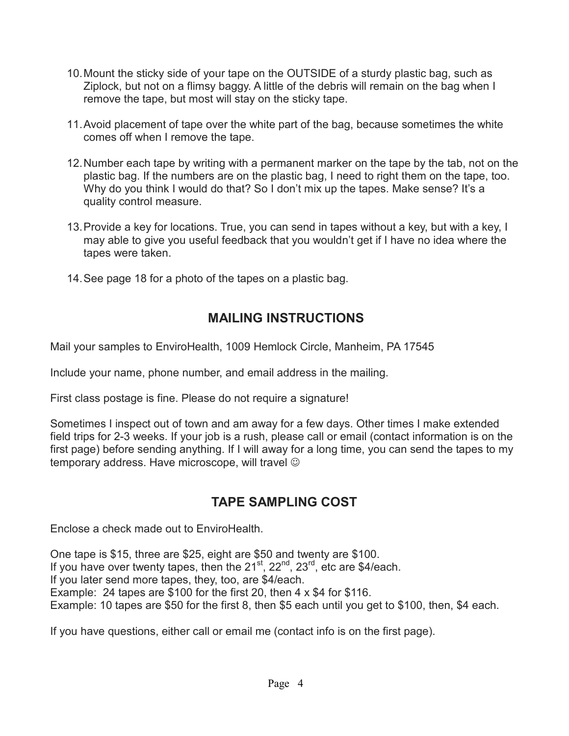- 10. Mount the sticky side of your tape on the OUTSIDE of a sturdy plastic bag, such as Ziplock, but not on a flimsy baggy. A little of the debris will remain on the bag when I remove the tape, but most will stay on the sticky tape.
- 11. Avoid placement of tape over the white part of the bag, because sometimes the white comes off when I remove the tape.
- 12. Number each tape by writing with a permanent marker on the tape by the tab, not on the plastic bag. If the numbers are on the plastic bag, I need to right them on the tape, too. Why do you think I would do that? So I don't mix up the tapes. Make sense? It's a quality control measure.
- 13. Provide a key for locations. True, you can send in tapes without a key, but with a key, I may able to give you useful feedback that you wouldn't get if I have no idea where the tapes were taken.
- 14. See page 18 for a photo of the tapes on a plastic bag.

# **MAILING INSTRUCTIONS**

Mail your samples to EnviroHealth, 1009 Hemlock Circle, Manheim, PA 17545

Include your name, phone number, and email address in the mailing.

First class postage is fine. Please do not require a signature!

Sometimes I inspect out of town and am away for a few days. Other times I make extended field trips for 2-3 weeks. If your job is a rush, please call or email (contact information is on the first page) before sending anything. If I will away for a long time, you can send the tapes to my temporary address. Have microscope, will travel  $\odot$ 

# **TAPE SAMPLING COST**

Enclose a check made out to EnviroHealth.

One tape is \$15, three are \$25, eight are \$50 and twenty are \$100. If you have over twenty tapes, then the  $21^{st}$ ,  $22^{nd}$ ,  $23^{rd}$ , etc are \$4/each. If you later send more tapes, they, too, are \$4/each. Example: 24 tapes are \$100 for the first 20, then 4 x \$4 for \$116. Example: 10 tapes are \$50 for the first 8, then \$5 each until you get to \$100, then, \$4 each.

If you have questions, either call or email me (contact info is on the first page).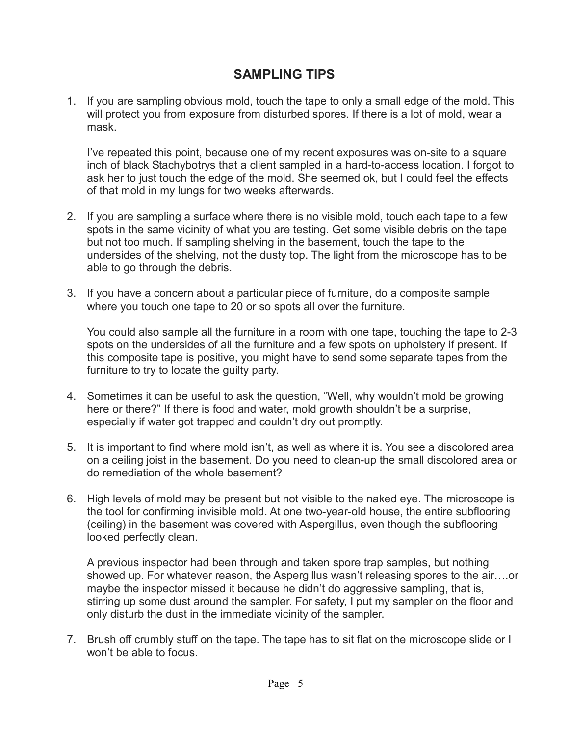### **SAMPLING TIPS**

1. If you are sampling obvious mold, touch the tape to only a small edge of the mold. This will protect you from exposure from disturbed spores. If there is a lot of mold, wear a mask.

I've repeated this point, because one of my recent exposures was on-site to a square inch of black Stachybotrys that a client sampled in a hard-to-access location. I forgot to ask her to just touch the edge of the mold. She seemed ok, but I could feel the effects of that mold in my lungs for two weeks afterwards.

- 2. If you are sampling a surface where there is no visible mold, touch each tape to a few spots in the same vicinity of what you are testing. Get some visible debris on the tape but not too much. If sampling shelving in the basement, touch the tape to the undersides of the shelving, not the dusty top. The light from the microscope has to be able to go through the debris.
- 3. If you have a concern about a particular piece of furniture, do a composite sample where you touch one tape to 20 or so spots all over the furniture.

You could also sample all the furniture in a room with one tape, touching the tape to 2-3 spots on the undersides of all the furniture and a few spots on upholstery if present. If this composite tape is positive, you might have to send some separate tapes from the furniture to try to locate the guilty party.

- 4. Sometimes it can be useful to ask the question, "Well, why wouldn't mold be growing here or there?" If there is food and water, mold growth shouldn't be a surprise, especially if water got trapped and couldn't dry out promptly.
- 5. It is important to find where mold isn't, as well as where it is. You see a discolored area on a ceiling joist in the basement. Do you need to clean-up the small discolored area or do remediation of the whole basement?
- 6. High levels of mold may be present but not visible to the naked eye. The microscope is the tool for confirming invisible mold. At one two-year-old house, the entire subflooring (ceiling) in the basement was covered with Aspergillus, even though the subflooring looked perfectly clean.

A previous inspector had been through and taken spore trap samples, but nothing showed up. For whatever reason, the Aspergillus wasn't releasing spores to the air....or maybe the inspector missed it because he didn't do aggressive sampling, that is, stirring up some dust around the sampler. For safety, I put my sampler on the floor and only disturb the dust in the immediate vicinity of the sampler.

7. Brush off crumbly stuff on the tape. The tape has to sit flat on the microscope slide or I won't be able to focus.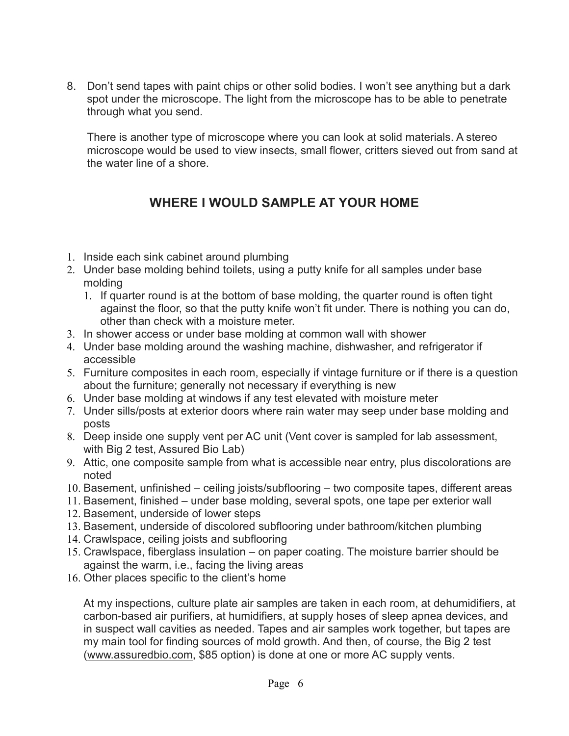8. Don't send tapes with paint chips or other solid bodies. I won't see anything but a dark spot under the microscope. The light from the microscope has to be able to penetrate through what you send.

There is another type of microscope where you can look at solid materials. A stereo microscope would be used to view insects, small flower, critters sieved out from sand at the water line of a shore.

# **WHERE I WOULD SAMPLE AT YOUR HOME**

- 1. Inside each sink cabinet around plumbing
- 2. Under base molding behind toilets, using a putty knife for all samples under base molding
	- 1. If quarter round is at the bottom of base molding, the quarter round is often tight against the floor, so that the putty knife won't fit under. There is nothing you can do, other than check with a moisture meter.
- 3. In shower access or under base molding at common wall with shower
- 4. Under base molding around the washing machine, dishwasher, and refrigerator if accessible
- 5. Furniture composites in each room, especially if vintage furniture or if there is a question about the furniture; generally not necessary if everything is new
- 6. Under base molding at windows if any test elevated with moisture meter
- 7. Under sills/posts at exterior doors where rain water may seep under base molding and posts
- 8. Deep inside one supply vent per AC unit (Vent cover is sampled for lab assessment, with Big 2 test, Assured Bio Lab)
- 9. Attic, one composite sample from what is accessible near entry, plus discolorations are noted
- 10. Basement, unfinished ceiling joists/subflooring two composite tapes, different areas
- 11. Basement, finished under base molding, several spots, one tape per exterior wall
- 12. Basement, underside of lower steps
- 13. Basement, underside of discolored subflooring under bathroom/kitchen plumbing
- 14. Crawlspace, ceiling joists and subflooring
- 15. Crawlspace, fiberglass insulation on paper coating. The moisture barrier should be against the warm, i.e., facing the living areas
- 16. Other places specific to the client's home

At my inspections, culture plate air samples are taken in each room, at dehumidifiers, at carbon-based air purifiers, at humidifiers, at supply hoses of sleep apnea devices, and in suspect wall cavities as needed. Tapes and air samples work together, but tapes are my main tool for finding sources of mold growth. And then, of course, the Big 2 test (www.assuredbio.com, \$85 option) is done at one or more AC supply vents.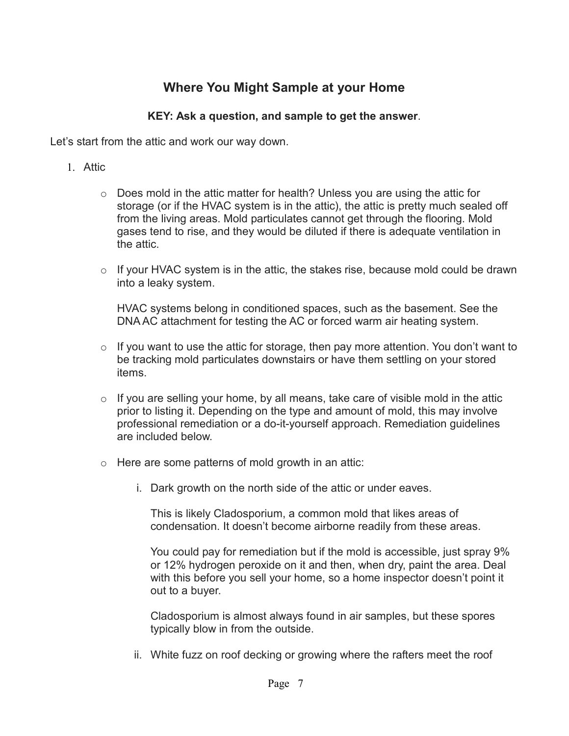# **Where You Might Sample at your Home**

#### **KEY: Ask a question, and sample to get the answer**.

Let's start from the attic and work our way down.

- 1. Attic
	- $\circ$  Does mold in the attic matter for health? Unless you are using the attic for storage (or if the HVAC system is in the attic), the attic is pretty much sealed off from the living areas. Mold particulates cannot get through the flooring. Mold gases tend to rise, and they would be diluted if there is adequate ventilation in the attic.
	- $\circ$  If your HVAC system is in the attic, the stakes rise, because mold could be drawn into a leaky system.

HVAC systems belong in conditioned spaces, such as the basement. See the DNA AC attachment for testing the AC or forced warm air heating system.

- $\circ$  If you want to use the attic for storage, then pay more attention. You don't want to be tracking mold particulates downstairs or have them settling on your stored items.
- $\circ$  If you are selling your home, by all means, take care of visible mold in the attic prior to listing it. Depending on the type and amount of mold, this may involve professional remediation or a do-it-yourself approach. Remediation guidelines are included below.
- o Here are some patterns of mold growth in an attic:
	- i. Dark growth on the north side of the attic or under eaves.

This is likely Cladosporium, a common mold that likes areas of condensation. It doesn't become airborne readily from these areas.

You could pay for remediation but if the mold is accessible, just spray 9% or 12% hydrogen peroxide on it and then, when dry, paint the area. Deal with this before you sell your home, so a home inspector doesn't point it out to a buyer.

Cladosporium is almost always found in air samples, but these spores typically blow in from the outside.

ii. White fuzz on roof decking or growing where the rafters meet the roof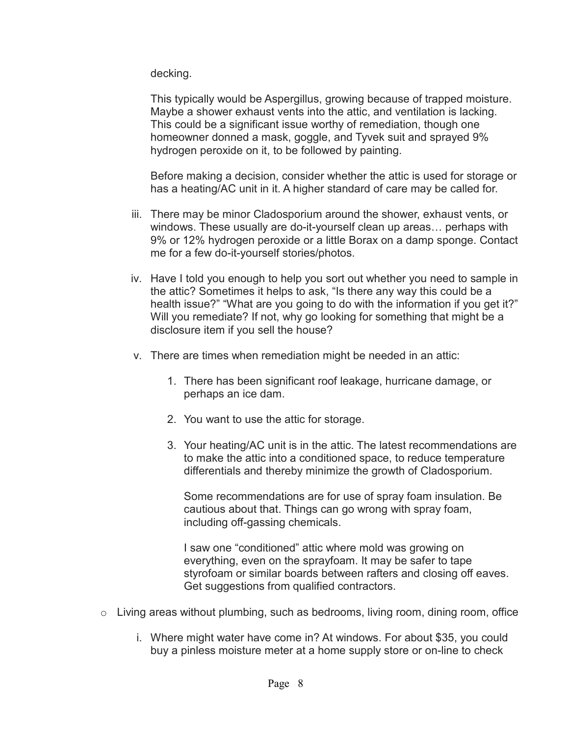decking.

This typically would be Aspergillus, growing because of trapped moisture. Maybe a shower exhaust vents into the attic, and ventilation is lacking. This could be a significant issue worthy of remediation, though one homeowner donned a mask, goggle, and Tyvek suit and sprayed 9% hydrogen peroxide on it, to be followed by painting.

Before making a decision, consider whether the attic is used for storage or has a heating/AC unit in it. A higher standard of care may be called for.

- iii. There may be minor Cladosporium around the shower, exhaust vents, or windows. These usually are do-it-yourself clean up areas... perhaps with 9% or 12% hydrogen peroxide or a little Borax on a damp sponge. Contact me for a few do-it-yourself stories/photos.
- iv. Have I told you enough to help you sort out whether you need to sample in the attic? Sometimes it helps to ask, "Is there any way this could be a health issue?" "What are you going to do with the information if you get it?" Will you remediate? If not, why go looking for something that might be a disclosure item if you sell the house?
- v. There are times when remediation might be needed in an attic:
	- 1. There has been significant roof leakage, hurricane damage, or perhaps an ice dam.
	- 2. You want to use the attic for storage.
	- 3. Your heating/AC unit is in the attic. The latest recommendations are to make the attic into a conditioned space, to reduce temperature differentials and thereby minimize the growth of Cladosporium.

Some recommendations are for use of spray foam insulation. Be cautious about that. Things can go wrong with spray foam, including off-gassing chemicals.

I saw one "conditioned" attic where mold was growing on everything, even on the sprayfoam. It may be safer to tape styrofoam or similar boards between rafters and closing off eaves. Get suggestions from qualified contractors.

- o Living areas without plumbing, such as bedrooms, living room, dining room, office
	- i. Where might water have come in? At windows. For about \$35, you could buy a pinless moisture meter at a home supply store or on-line to check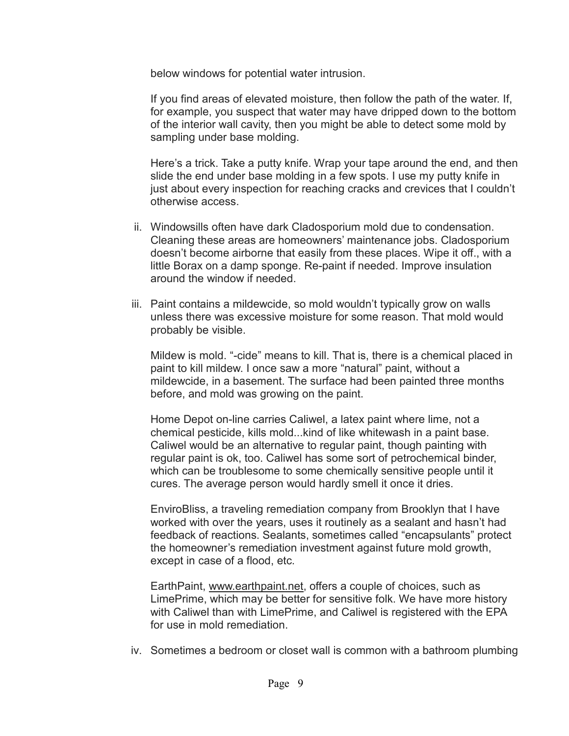below windows for potential water intrusion.

If you find areas of elevated moisture, then follow the path of the water. If, for example, you suspect that water may have dripped down to the bottom of the interior wall cavity, then you might be able to detect some mold by sampling under base molding.

Here's a trick. Take a putty knife. Wrap your tape around the end, and then slide the end under base molding in a few spots. I use my putty knife in just about every inspection for reaching cracks and crevices that I couldn't otherwise access.

- ii. Windowsills often have dark Cladosporium mold due to condensation. Cleaning these areas are homeowners' maintenance jobs. Cladosporium doesn't become airborne that easily from these places. Wipe it off., with a little Borax on a damp sponge. Re-paint if needed. Improve insulation around the window if needed.
- iii. Paint contains a mildewcide, so mold wouldn't typically grow on walls unless there was excessive moisture for some reason. That mold would probably be visible.

Mildew is mold. "-cide" means to kill. That is, there is a chemical placed in paint to kill mildew. I once saw a more "natural" paint, without a mildewcide, in a basement. The surface had been painted three months before, and mold was growing on the paint.

Home Depot on-line carries Caliwel, a latex paint where lime, not a chemical pesticide, kills mold...kind of like whitewash in a paint base. Caliwel would be an alternative to regular paint, though painting with regular paint is ok, too. Caliwel has some sort of petrochemical binder, which can be troublesome to some chemically sensitive people until it cures. The average person would hardly smell it once it dries.

EnviroBliss, a traveling remediation company from Brooklyn that I have worked with over the years, uses it routinely as a sealant and hasn't had feedback of reactions. Sealants, sometimes called "encapsulants" protect the homeowner's remediation investment against future mold growth, except in case of a flood, etc.

EarthPaint, www.earthpaint.net, offers a couple of choices, such as LimePrime, which may be better for sensitive folk. We have more history with Caliwel than with LimePrime, and Caliwel is registered with the EPA for use in mold remediation.

iv. Sometimes a bedroom or closet wall is common with a bathroom plumbing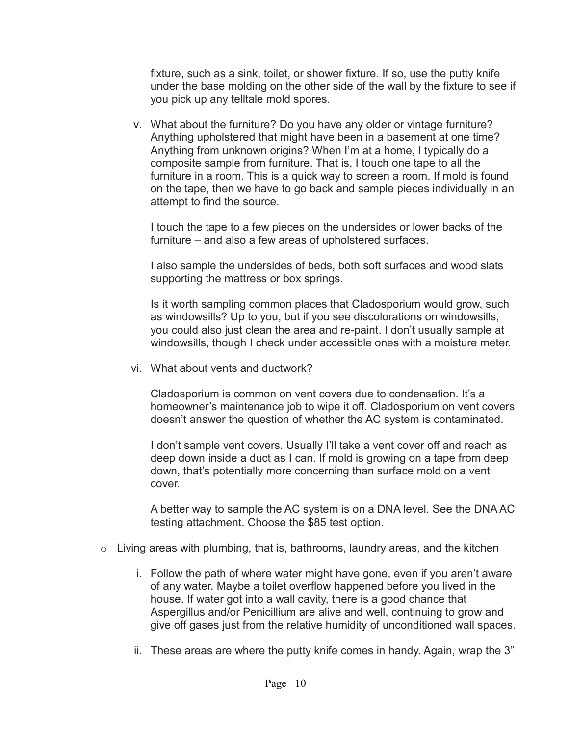fixture, such as a sink, toilet, or shower fixture. If so, use the putty knife under the base molding on the other side of the wall by the fixture to see if you pick up any telltale mold spores.

v. What about the furniture? Do you have any older or vintage furniture? Anything upholstered that might have been in a basement at one time? Anything from unknown origins? When I'm at a home, I typically do a composite sample from furniture. That is, I touch one tape to all the furniture in a room. This is a quick way to screen a room. If mold is found on the tape, then we have to go back and sample pieces individually in an attempt to find the source.

I touch the tape to a few pieces on the undersides or lower backs of the furniture – and also a few areas of upholstered surfaces.

I also sample the undersides of beds, both soft surfaces and wood slats supporting the mattress or box springs.

Is it worth sampling common places that Cladosporium would grow, such as windowsills? Up to you, but if you see discolorations on windowsills, you could also just clean the area and re-paint. I don't usually sample at windowsills, though I check under accessible ones with a moisture meter.

vi. What about vents and ductwork?

Cladosporium is common on vent covers due to condensation. It's a homeowner's maintenance job to wipe it off. Cladosporium on vent covers doesn't answer the question of whether the AC system is contaminated.

I don't sample vent covers. Usually I'll take a vent cover off and reach as deep down inside a duct as I can. If mold is growing on a tape from deep down, that's potentially more concerning than surface mold on a vent cover.

A better way to sample the AC system is on a DNA level. See the DNA AC testing attachment. Choose the \$85 test option.

- $\circ$  Living areas with plumbing, that is, bathrooms, laundry areas, and the kitchen
	- i. Follow the path of where water might have gone, even if you aren't aware of any water. Maybe a toilet overflow happened before you lived in the house. If water got into a wall cavity, there is a good chance that Aspergillus and/or Penicillium are alive and well, continuing to grow and give off gases just from the relative humidity of unconditioned wall spaces.
	- ii. These areas are where the putty knife comes in handy. Again, wrap the 3"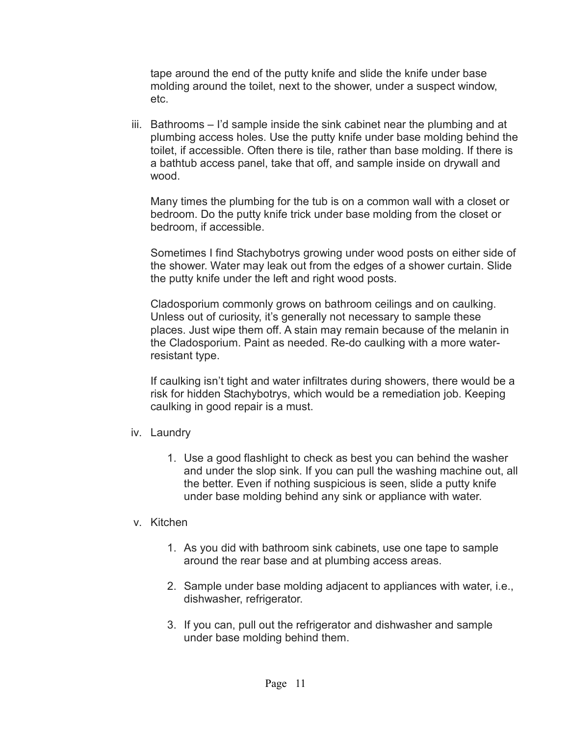tape around the end of the putty knife and slide the knife under base molding around the toilet, next to the shower, under a suspect window, etc.

iii. Bathrooms – I'd sample inside the sink cabinet near the plumbing and at plumbing access holes. Use the putty knife under base molding behind the toilet, if accessible. Often there is tile, rather than base molding. If there is a bathtub access panel, take that off, and sample inside on drywall and wood.

Many times the plumbing for the tub is on a common wall with a closet or bedroom. Do the putty knife trick under base molding from the closet or bedroom, if accessible.

Sometimes I find Stachybotrys growing under wood posts on either side of the shower. Water may leak out from the edges of a shower curtain. Slide the putty knife under the left and right wood posts.

Cladosporium commonly grows on bathroom ceilings and on caulking. Unless out of curiosity, it's generally not necessary to sample these places. Just wipe them off. A stain may remain because of the melanin in the Cladosporium. Paint as needed. Re-do caulking with a more waterresistant type.

If caulking isn't tight and water infiltrates during showers, there would be a risk for hidden Stachybotrys, which would be a remediation job. Keeping caulking in good repair is a must.

#### iv. Laundry

1. Use a good flashlight to check as best you can behind the washer and under the slop sink. If you can pull the washing machine out, all the better. Even if nothing suspicious is seen, slide a putty knife under base molding behind any sink or appliance with water.

#### v. Kitchen

- 1. As you did with bathroom sink cabinets, use one tape to sample around the rear base and at plumbing access areas.
- 2. Sample under base molding adjacent to appliances with water, i.e., dishwasher, refrigerator.
- 3. If you can, pull out the refrigerator and dishwasher and sample under base molding behind them.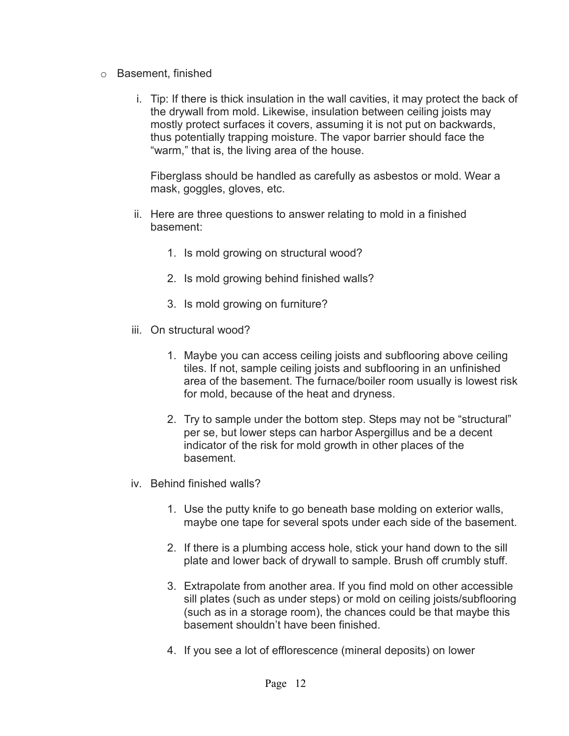- o Basement, finished
	- i. Tip: If there is thick insulation in the wall cavities, it may protect the back of the drywall from mold. Likewise, insulation between ceiling joists may mostly protect surfaces it covers, assuming it is not put on backwards, thus potentially trapping moisture. The vapor barrier should face the "warm," that is, the living area of the house.

Fiberglass should be handled as carefully as asbestos or mold. Wear a mask, goggles, gloves, etc.

- ii. Here are three questions to answer relating to mold in a finished basement:
	- 1. Is mold growing on structural wood?
	- 2. Is mold growing behind finished walls?
	- 3. Is mold growing on furniture?
- iii. On structural wood?
	- 1. Maybe you can access ceiling joists and subflooring above ceiling tiles. If not, sample ceiling joists and subflooring in an unfinished area of the basement. The furnace/boiler room usually is lowest risk for mold, because of the heat and dryness.
	- 2. Try to sample under the bottom step. Steps may not be "structural" per se, but lower steps can harbor Aspergillus and be a decent indicator of the risk for mold growth in other places of the basement.
- iv. Behind finished walls?
	- 1. Use the putty knife to go beneath base molding on exterior walls, maybe one tape for several spots under each side of the basement.
	- 2. If there is a plumbing access hole, stick your hand down to the sill plate and lower back of drywall to sample. Brush off crumbly stuff.
	- 3. Extrapolate from another area. If you find mold on other accessible sill plates (such as under steps) or mold on ceiling joists/subflooring (such as in a storage room), the chances could be that maybe this basement shouldn't have been finished.
	- 4. If you see a lot of efflorescence (mineral deposits) on lower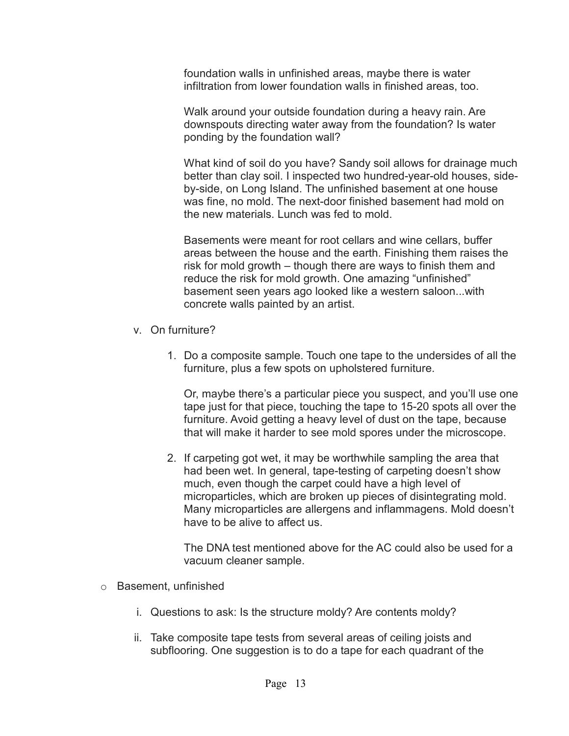foundation walls in unfinished areas, maybe there is water infiltration from lower foundation walls in finished areas, too.

Walk around your outside foundation during a heavy rain. Are downspouts directing water away from the foundation? Is water ponding by the foundation wall?

What kind of soil do you have? Sandy soil allows for drainage much better than clay soil. I inspected two hundred-year-old houses, sideby-side, on Long Island. The unfinished basement at one house was fine, no mold. The next-door finished basement had mold on the new materials. Lunch was fed to mold.

Basements were meant for root cellars and wine cellars, buffer areas between the house and the earth. Finishing them raises the risk for mold growth – though there are ways to finish them and reduce the risk for mold growth. One amazing "unfinished" basement seen years ago looked like a western saloon...with concrete walls painted by an artist.

- v. On furniture?
	- 1. Do a composite sample. Touch one tape to the undersides of all the furniture, plus a few spots on upholstered furniture.

Or, maybe there's a particular piece you suspect, and you'll use one tape just for that piece, touching the tape to 15-20 spots all over the furniture. Avoid getting a heavy level of dust on the tape, because that will make it harder to see mold spores under the microscope.

2. If carpeting got wet, it may be worthwhile sampling the area that had been wet. In general, tape-testing of carpeting doesn't show much, even though the carpet could have a high level of microparticles, which are broken up pieces of disintegrating mold. Many microparticles are allergens and inflammagens. Mold doesn't have to be alive to affect us.

The DNA test mentioned above for the AC could also be used for a vacuum cleaner sample.

- o Basement, unfinished
	- i. Questions to ask: Is the structure moldy? Are contents moldy?
	- ii. Take composite tape tests from several areas of ceiling joists and subflooring. One suggestion is to do a tape for each quadrant of the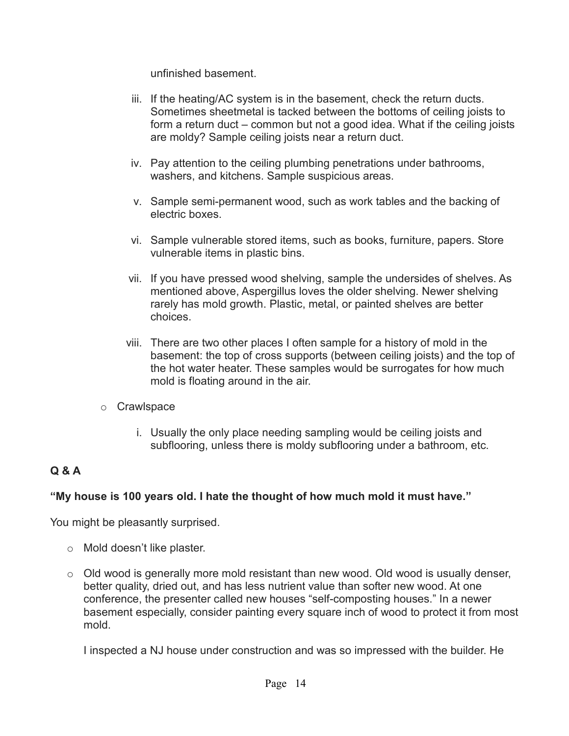unfinished basement.

- iii. If the heating/AC system is in the basement, check the return ducts. Sometimes sheetmetal is tacked between the bottoms of ceiling joists to form a return duct – common but not a good idea. What if the ceiling joists are moldy? Sample ceiling joists near a return duct.
- iv. Pay attention to the ceiling plumbing penetrations under bathrooms, washers, and kitchens. Sample suspicious areas.
- v. Sample semi-permanent wood, such as work tables and the backing of electric boxes.
- vi. Sample vulnerable stored items, such as books, furniture, papers. Store vulnerable items in plastic bins.
- vii. If you have pressed wood shelving, sample the undersides of shelves. As mentioned above, Aspergillus loves the older shelving. Newer shelving rarely has mold growth. Plastic, metal, or painted shelves are better choices.
- viii. There are two other places I often sample for a history of mold in the basement: the top of cross supports (between ceiling joists) and the top of the hot water heater. These samples would be surrogates for how much mold is floating around in the air.
- o Crawlspace
	- i. Usually the only place needing sampling would be ceiling joists and subflooring, unless there is moldy subflooring under a bathroom, etc.

### **Q & A**

#### **"My house is 100 years old. I hate the thought of how much mold it must have."**

You might be pleasantly surprised.

- o Mold doesn't like plaster.
- $\circ$  Old wood is generally more mold resistant than new wood. Old wood is usually denser, better quality, dried out, and has less nutrient value than softer new wood. At one conference, the presenter called new houses "self-composting houses." In a newer basement especially, consider painting every square inch of wood to protect it from most mold.

I inspected a NJ house under construction and was so impressed with the builder. He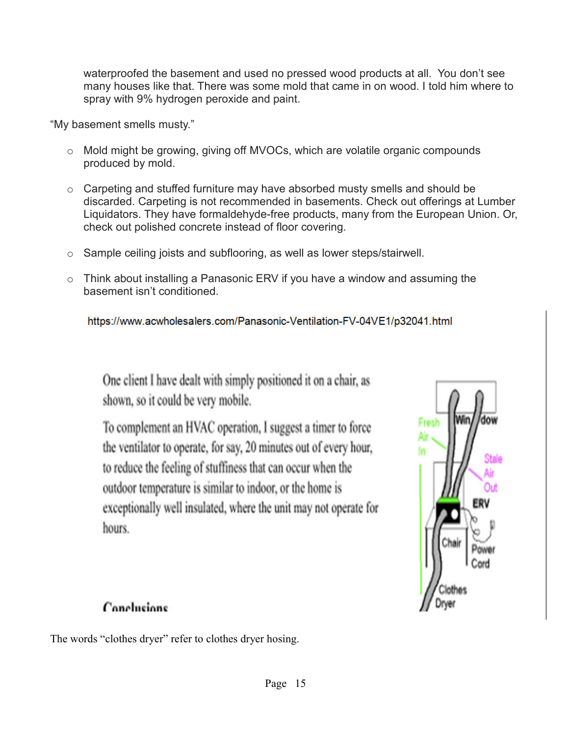waterproofed the basement and used no pressed wood products at all. You don't see many houses like that. There was some mold that came in on wood. I told him where to spray with 9% hydrogen peroxide and paint.

"My basement smells musty."

- o Mold might be growing, giving off MVOCs, which are volatile organic compounds produced by mold.
- o Carpeting and stuffed furniture may have absorbed musty smells and should be discarded. Carpeting is not recommended in basements. Check out offerings at Lumber Liquidators. They have formaldehyde-free products, many from the European Union. Or, check out polished concrete instead of floor covering.
- $\circ$  Sample ceiling joists and subflooring, as well as lower steps/stairwell.
- o Think about installing a Panasonic ERV if you have a window and assuming the basement isn't conditioned.

https://www.acwholesalers.com/Panasonic-Ventilation-FV-04VE1/p32041.html

One client I have dealt with simply positioned it on a chair, as shown, so it could be very mobile.

To complement an HVAC operation, I suggest a timer to force the ventilator to operate, for say, 20 minutes out of every hour, to reduce the feeling of stuffiness that can occur when the outdoor temperature is similar to indoor, or the home is exceptionally well insulated, where the unit may not operate for hours.



### Conclusions

The words "clothes dryer" refer to clothes dryer hosing.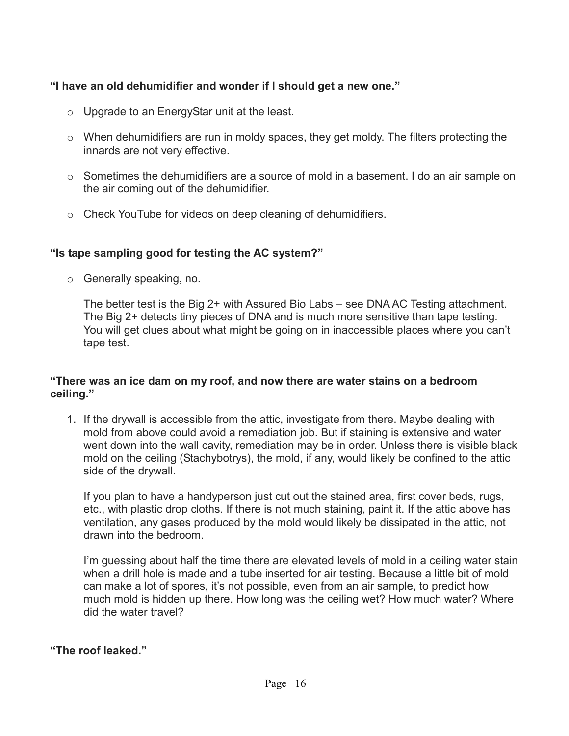#### **"I have an old dehumidifier and wonder if I should get a new one."**

- o Upgrade to an EnergyStar unit at the least.
- o When dehumidifiers are run in moldy spaces, they get moldy. The filters protecting the innards are not very effective.
- o Sometimes the dehumidifiers are a source of mold in a basement. I do an air sample on the air coming out of the dehumidifier.
- o Check YouTube for videos on deep cleaning of dehumidifiers.

#### **"Is tape sampling good for testing the AC system?"**

o Generally speaking, no.

The better test is the Big 2+ with Assured Bio Labs – see DNA AC Testing attachment. The Big 2+ detects tiny pieces of DNA and is much more sensitive than tape testing. You will get clues about what might be going on in inaccessible places where you can't tape test.

#### **"There was an ice dam on my roof, and now there are water stains on a bedroom ceiling."**

1. If the drywall is accessible from the attic, investigate from there. Maybe dealing with mold from above could avoid a remediation job. But if staining is extensive and water went down into the wall cavity, remediation may be in order. Unless there is visible black mold on the ceiling (Stachybotrys), the mold, if any, would likely be confined to the attic side of the drywall.

If you plan to have a handyperson just cut out the stained area, first cover beds, rugs, etc., with plastic drop cloths. If there is not much staining, paint it. If the attic above has ventilation, any gases produced by the mold would likely be dissipated in the attic, not drawn into the bedroom.

I'm guessing about half the time there are elevated levels of mold in a ceiling water stain when a drill hole is made and a tube inserted for air testing. Because a little bit of mold can make a lot of spores, it's not possible, even from an air sample, to predict how much mold is hidden up there. How long was the ceiling wet? How much water? Where did the water travel?

**"The roof leaked."**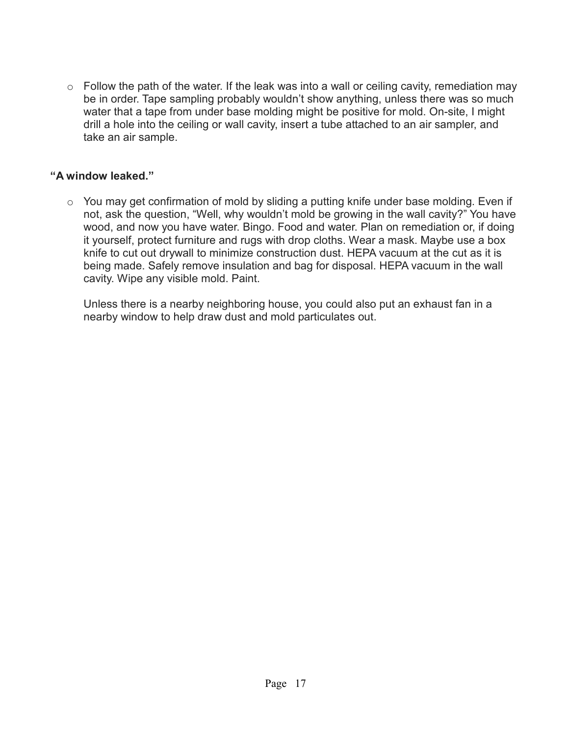$\circ$  Follow the path of the water. If the leak was into a wall or ceiling cavity, remediation may be in order. Tape sampling probably wouldn't show anything, unless there was so much water that a tape from under base molding might be positive for mold. On-site, I might drill a hole into the ceiling or wall cavity, insert a tube attached to an air sampler, and take an air sample.

#### **"A window leaked."**

o You may get confirmation of mold by sliding a putting knife under base molding. Even if not, ask the question, "Well, why wouldn't mold be growing in the wall cavity?" You have wood, and now you have water. Bingo. Food and water. Plan on remediation or, if doing it yourself, protect furniture and rugs with drop cloths. Wear a mask. Maybe use a box knife to cut out drywall to minimize construction dust. HEPA vacuum at the cut as it is being made. Safely remove insulation and bag for disposal. HEPA vacuum in the wall cavity. Wipe any visible mold. Paint.

Unless there is a nearby neighboring house, you could also put an exhaust fan in a nearby window to help draw dust and mold particulates out.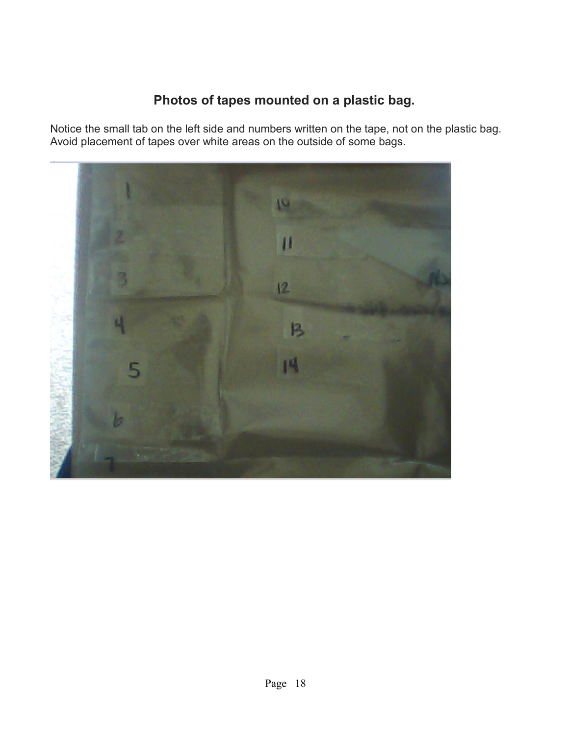# **Photos of tapes mounted on a plastic bag.**

Notice the small tab on the left side and numbers written on the tape, not on the plastic bag. Avoid placement of tapes over white areas on the outside of some bags.

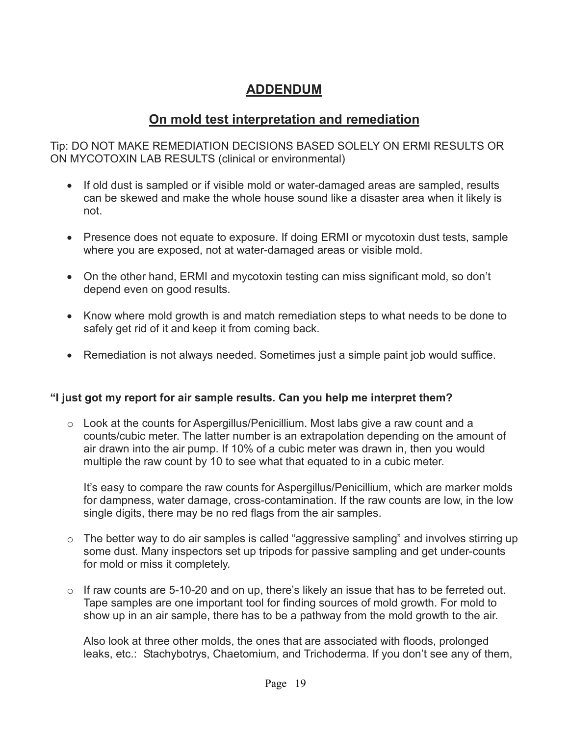### **ADDENDUM**

### **On mold test interpretation and remediation**

Tip: DO NOT MAKE REMEDIATION DECISIONS BASED SOLELY ON ERMI RESULTS OR ON MYCOTOXIN LAB RESULTS (clinical or environmental)

- If old dust is sampled or if visible mold or water-damaged areas are sampled, results can be skewed and make the whole house sound like a disaster area when it likely is not.
- Presence does not equate to exposure. If doing ERMI or mycotoxin dust tests, sample where you are exposed, not at water-damaged areas or visible mold.
- On the other hand, ERMI and mycotoxin testing can miss significant mold, so don't depend even on good results.
- Know where mold growth is and match remediation steps to what needs to be done to safely get rid of it and keep it from coming back.
- Remediation is not always needed. Sometimes just a simple paint job would suffice.

#### **"I just got my report for air sample results. Can you help me interpret them?**

 $\circ$  Look at the counts for Aspergillus/Penicillium. Most labs give a raw count and a counts/cubic meter. The latter number is an extrapolation depending on the amount of air drawn into the air pump. If 10% of a cubic meter was drawn in, then you would multiple the raw count by 10 to see what that equated to in a cubic meter.

It's easy to compare the raw counts for Aspergillus/Penicillium, which are marker molds for dampness, water damage, cross-contamination. If the raw counts are low, in the low single digits, there may be no red flags from the air samples.

- o The better way to do air samples is called "aggressive sampling" and involves stirring up some dust. Many inspectors set up tripods for passive sampling and get under-counts for mold or miss it completely.
- $\circ$  If raw counts are 5-10-20 and on up, there's likely an issue that has to be ferreted out. Tape samples are one important tool for finding sources of mold growth. For mold to show up in an air sample, there has to be a pathway from the mold growth to the air.

Also look at three other molds, the ones that are associated with floods, prolonged leaks, etc.: Stachybotrys, Chaetomium, and Trichoderma. If you don't see any of them,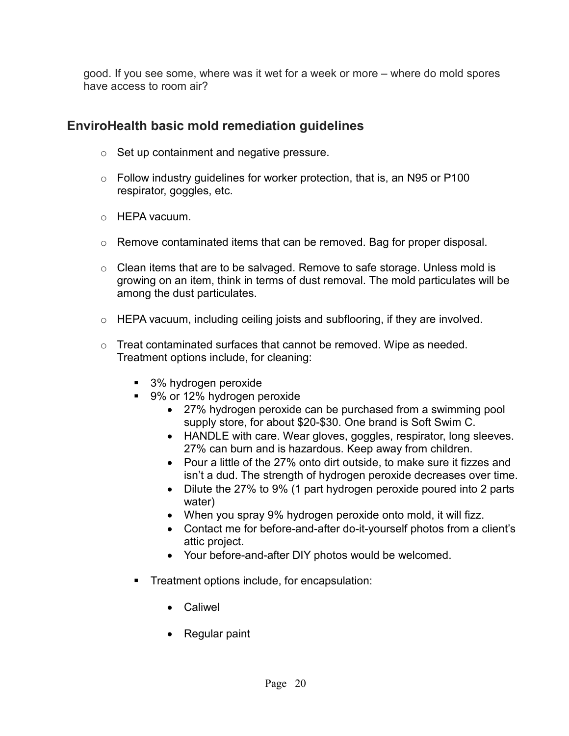good. If you see some, where was it wet for a week or more – where do mold spores have access to room air?

# **EnviroHealth basic mold remediation guidelines**

- o Set up containment and negative pressure.
- $\circ$  Follow industry guidelines for worker protection, that is, an N95 or P100 respirator, goggles, etc.
- o HEPA vacuum.
- $\circ$  Remove contaminated items that can be removed. Bag for proper disposal.
- $\circ$  Clean items that are to be salvaged. Remove to safe storage. Unless mold is growing on an item, think in terms of dust removal. The mold particulates will be among the dust particulates.
- o HEPA vacuum, including ceiling joists and subflooring, if they are involved.
- $\circ$  Treat contaminated surfaces that cannot be removed. Wipe as needed. Treatment options include, for cleaning:
	- 3% hydrogen peroxide
	- 9% or 12% hydrogen peroxide
		- 27% hydrogen peroxide can be purchased from a swimming pool supply store, for about \$20-\$30. One brand is Soft Swim C.
		- HANDLE with care. Wear gloves, goggles, respirator, long sleeves. 27% can burn and is hazardous. Keep away from children.
		- Pour a little of the 27% onto dirt outside, to make sure it fizzes and isn't a dud. The strength of hydrogen peroxide decreases over time.
		- Dilute the 27% to 9% (1 part hydrogen peroxide poured into 2 parts water)
		- When you spray 9% hydrogen peroxide onto mold, it will fizz.
		- Contact me for before-and-after do-it-yourself photos from a client's attic project.
		- Your before-and-after DIY photos would be welcomed.
	- **Treatment options include, for encapsulation:** 
		- Caliwel
		- Regular paint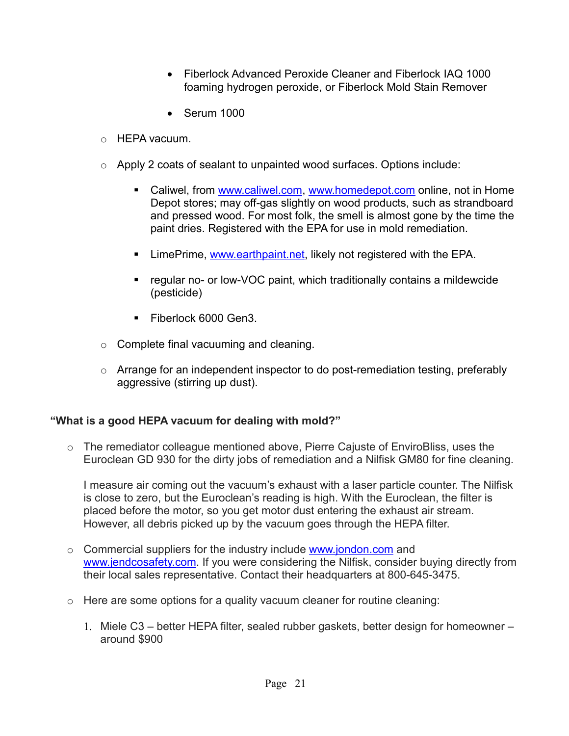- Fiberlock Advanced Peroxide Cleaner and Fiberlock IAQ 1000 foaming hydrogen peroxide, or Fiberlock Mold Stain Remover
- Serum 1000
- o HEPA vacuum.
- $\circ$  Apply 2 coats of sealant to unpainted wood surfaces. Options include:
	- Caliwel, from www.caliwel.com, www.homedepot.com online, not in Home Depot stores; may off-gas slightly on wood products, such as strandboard and pressed wood. For most folk, the smell is almost gone by the time the paint dries. Registered with the EPA for use in mold remediation.
	- **EXECT** LimePrime, www.earthpaint.net, likely not registered with the EPA.
	- regular no- or low-VOC paint, which traditionally contains a mildewcide (pesticide)
	- -Fiberlock 6000 Gen3.
- o Complete final vacuuming and cleaning.
- $\circ$  Arrange for an independent inspector to do post-remediation testing, preferably aggressive (stirring up dust).

#### **"What is a good HEPA vacuum for dealing with mold?"**

 $\circ$  The remediator colleague mentioned above, Pierre Cajuste of EnviroBliss, uses the Euroclean GD 930 for the dirty jobs of remediation and a Nilfisk GM80 for fine cleaning.

I measure air coming out the vacuum's exhaust with a laser particle counter. The Nilfisk is close to zero, but the Euroclean's reading is high. With the Euroclean, the filter is placed before the motor, so you get motor dust entering the exhaust air stream. However, all debris picked up by the vacuum goes through the HEPA filter.

- $\circ$  Commercial suppliers for the industry include www.jondon.com and www.jendcosafety.com. If you were considering the Nilfisk, consider buying directly from their local sales representative. Contact their headquarters at 800-645-3475.
- $\circ$  Here are some options for a quality vacuum cleaner for routine cleaning:
	- 1. Miele C3 better HEPA filter, sealed rubber gaskets, better design for homeowner around \$900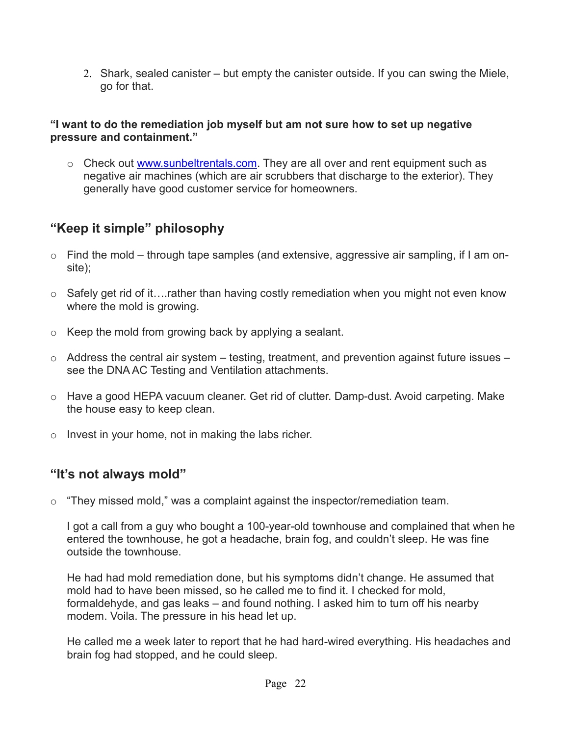2. Shark, sealed canister – but empty the canister outside. If you can swing the Miele, go for that.

#### **"I want to do the remediation job myself but am not sure how to set up negative pressure and containment."**

o Check out www.sunbeltrentals.com. They are all over and rent equipment such as negative air machines (which are air scrubbers that discharge to the exterior). They generally have good customer service for homeowners.

# **"Keep it simple" philosophy**

- o Find the mold through tape samples (and extensive, aggressive air sampling, if I am onsite);
- $\circ$  Safely get rid of it.... rather than having costly remediation when you might not even know where the mold is growing.
- o Keep the mold from growing back by applying a sealant.
- $\circ$  Address the central air system testing, treatment, and prevention against future issues see the DNA AC Testing and Ventilation attachments.
- $\circ$  Have a good HEPA vacuum cleaner. Get rid of clutter. Damp-dust. Avoid carpeting. Make the house easy to keep clean.
- o Invest in your home, not in making the labs richer.

### **"It's not always mold"**

o "They missed mold," was a complaint against the inspector/remediation team.

I got a call from a guy who bought a 100-year-old townhouse and complained that when he entered the townhouse, he got a headache, brain fog, and couldn't sleep. He was fine outside the townhouse.

He had had mold remediation done, but his symptoms didn't change. He assumed that mold had to have been missed, so he called me to find it. I checked for mold, formaldehyde, and gas leaks – and found nothing. I asked him to turn off his nearby modem. Voila. The pressure in his head let up.

He called me a week later to report that he had hard-wired everything. His headaches and brain fog had stopped, and he could sleep.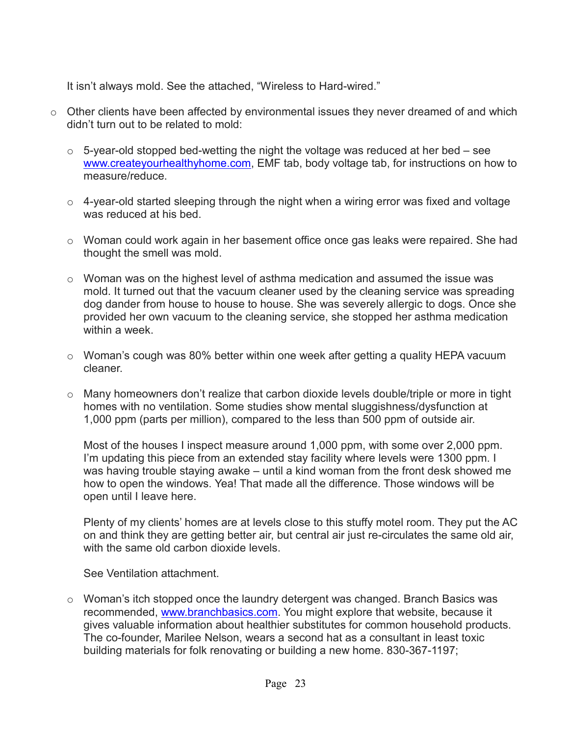It isn't always mold. See the attached, "Wireless to Hard-wired."

- $\circ$  Other clients have been affected by environmental issues they never dreamed of and which didn't turn out to be related to mold:
	- $\circ$  5-year-old stopped bed-wetting the night the voltage was reduced at her bed see www.createyourhealthyhome.com, EMF tab, body voltage tab, for instructions on how to measure/reduce.
	- $\circ$  4-year-old started sleeping through the night when a wiring error was fixed and voltage was reduced at his bed.
	- o Woman could work again in her basement office once gas leaks were repaired. She had thought the smell was mold.
	- $\circ$  Woman was on the highest level of asthma medication and assumed the issue was mold. It turned out that the vacuum cleaner used by the cleaning service was spreading dog dander from house to house to house. She was severely allergic to dogs. Once she provided her own vacuum to the cleaning service, she stopped her asthma medication within a week.
	- $\circ$  Woman's cough was 80% better within one week after getting a quality HEPA vacuum cleaner.
	- o Many homeowners don't realize that carbon dioxide levels double/triple or more in tight homes with no ventilation. Some studies show mental sluggishness/dysfunction at 1,000 ppm (parts per million), compared to the less than 500 ppm of outside air.

Most of the houses I inspect measure around 1,000 ppm, with some over 2,000 ppm. I'm updating this piece from an extended stay facility where levels were 1300 ppm. I was having trouble staying awake – until a kind woman from the front desk showed me how to open the windows. Yea! That made all the difference. Those windows will be open until I leave here.

Plenty of my clients' homes are at levels close to this stuffy motel room. They put the AC on and think they are getting better air, but central air just re-circulates the same old air, with the same old carbon dioxide levels.

See Ventilation attachment.

 $\circ$  Woman's itch stopped once the laundry detergent was changed. Branch Basics was recommended, www.branchbasics.com. You might explore that website, because it gives valuable information about healthier substitutes for common household products. The co-founder, Marilee Nelson, wears a second hat as a consultant in least toxic building materials for folk renovating or building a new home. 830-367-1197;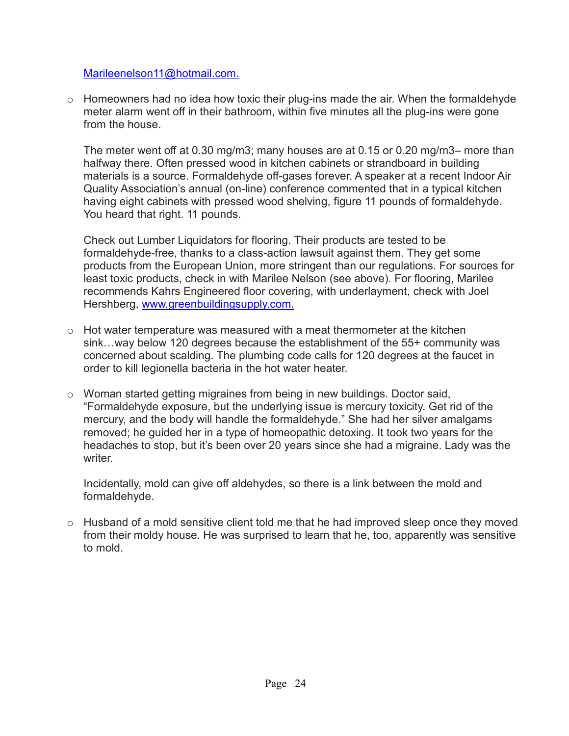#### Marileenelson11@hotmail.com.

 $\circ$  Homeowners had no idea how toxic their plug-ins made the air. When the formaldehyde meter alarm went off in their bathroom, within five minutes all the plug-ins were gone from the house.

The meter went off at 0.30 mg/m3; many houses are at 0.15 or 0.20 mg/m3– more than halfway there. Often pressed wood in kitchen cabinets or strandboard in building materials is a source. Formaldehyde off-gases forever. A speaker at a recent Indoor Air Quality Association's annual (on-line) conference commented that in a typical kitchen having eight cabinets with pressed wood shelving, figure 11 pounds of formaldehyde. You heard that right. 11 pounds.

Check out Lumber Liquidators for flooring. Their products are tested to be formaldehyde-free, thanks to a class-action lawsuit against them. They get some products from the European Union, more stringent than our regulations. For sources for least toxic products, check in with Marilee Nelson (see above). For flooring, Marilee recommends Kahrs Engineered floor covering, with underlayment, check with Joel Hershberg, www.greenbuildingsupply.com.

- $\circ$  Hot water temperature was measured with a meat thermometer at the kitchen sink...way below 120 degrees because the establishment of the 55+ community was concerned about scalding. The plumbing code calls for 120 degrees at the faucet in order to kill legionella bacteria in the hot water heater.
- o Woman started getting migraines from being in new buildings. Doctor said, "Formaldehyde exposure, but the underlying issue is mercury toxicity. Get rid of the mercury, and the body will handle the formaldehyde." She had her silver amalgams removed; he guided her in a type of homeopathic detoxing. It took two years for the headaches to stop, but it's been over 20 years since she had a migraine. Lady was the writer.

Incidentally, mold can give off aldehydes, so there is a link between the mold and formaldehyde.

 $\circ$  Husband of a mold sensitive client told me that he had improved sleep once they moved from their moldy house. He was surprised to learn that he, too, apparently was sensitive to mold.